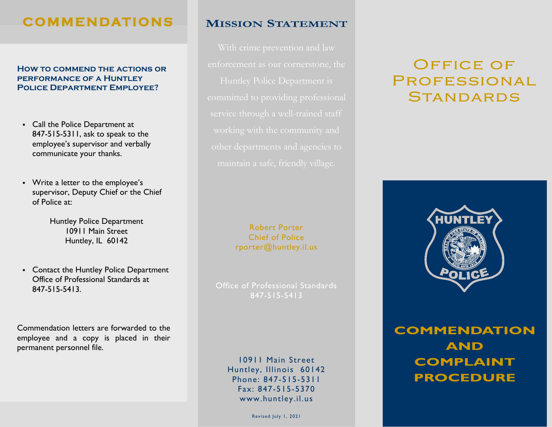# **C O M M E N DAT I O N S**

### **How to commend the actions or performance of a Huntley Police Department Employee?**

- Call the Police Department at 847-515-5311, ask to speak to the employee's supervisor and verbally communicate your thanks.
- Write a letter to the employee's supervisor, Deputy Chief or the Chief of Police at:

Huntley Police Department 10911 Main Street Huntley, IL 60142

▪ Contact the Huntley Police Department Office of Professional Standards at 847-515-5413.

Commendation letters are forwarded to the employee and a copy is placed in their permanent personnel file.

## **MISSION STATEMENT**

service through a well-trained staff

### Robert Porter Chief of Police rporter@huntley.il.us

Office of Professional Standards 847-515-5413

> 10911 Main Street Huntley, Illinois 60142 Phone: 847-515-5311 Fax: 847-515-5370 www.huntley.il.us

> > Revised July 1, 2021

# **OFFICE OF** PROFESSIONAL **STANDARDS**



**COMMENDATION AND COMPLAINT PROCEDURE**